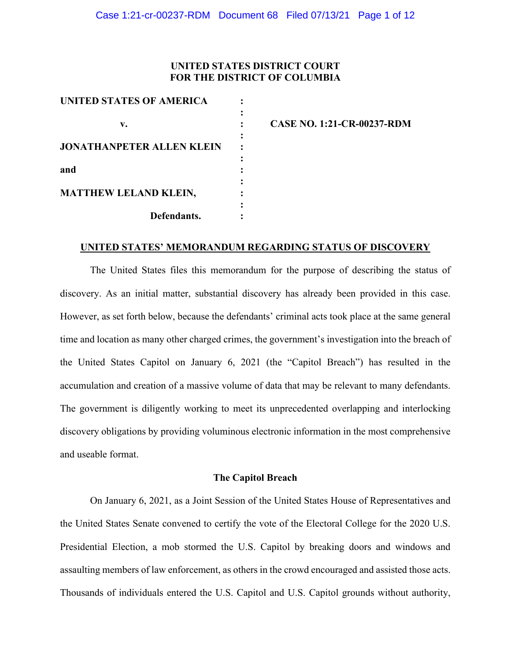## **UNITED STATES DISTRICT COURT FOR THE DISTRICT OF COLUMBIA**

| UNITED STATES OF AMERICA         |  |
|----------------------------------|--|
|                                  |  |
| v.                               |  |
|                                  |  |
| <b>JONATHANPETER ALLEN KLEIN</b> |  |
|                                  |  |
| and                              |  |
|                                  |  |
| <b>MATTHEW LELAND KLEIN,</b>     |  |
|                                  |  |
| Defendants.                      |  |

**v. : CASE NO. 1:21-CR-00237-RDM**

## **UNITED STATES' MEMORANDUM REGARDING STATUS OF DISCOVERY**

The United States files this memorandum for the purpose of describing the status of discovery. As an initial matter, substantial discovery has already been provided in this case. However, as set forth below, because the defendants' criminal acts took place at the same general time and location as many other charged crimes, the government's investigation into the breach of the United States Capitol on January 6, 2021 (the "Capitol Breach") has resulted in the accumulation and creation of a massive volume of data that may be relevant to many defendants. The government is diligently working to meet its unprecedented overlapping and interlocking discovery obligations by providing voluminous electronic information in the most comprehensive and useable format.

#### **The Capitol Breach**

On January 6, 2021, as a Joint Session of the United States House of Representatives and the United States Senate convened to certify the vote of the Electoral College for the 2020 U.S. Presidential Election, a mob stormed the U.S. Capitol by breaking doors and windows and assaulting members of law enforcement, as others in the crowd encouraged and assisted those acts. Thousands of individuals entered the U.S. Capitol and U.S. Capitol grounds without authority,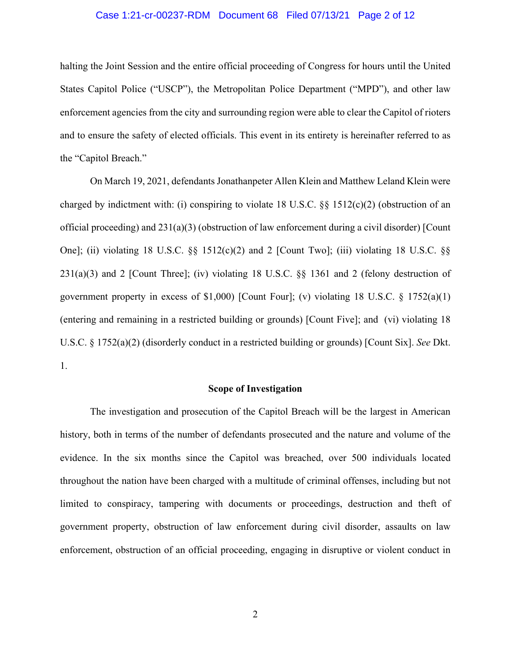### Case 1:21-cr-00237-RDM Document 68 Filed 07/13/21 Page 2 of 12

halting the Joint Session and the entire official proceeding of Congress for hours until the United States Capitol Police ("USCP"), the Metropolitan Police Department ("MPD"), and other law enforcement agencies from the city and surrounding region were able to clear the Capitol of rioters and to ensure the safety of elected officials. This event in its entirety is hereinafter referred to as the "Capitol Breach."

On March 19, 2021, defendants Jonathanpeter Allen Klein and Matthew Leland Klein were charged by indictment with: (i) conspiring to violate 18 U.S.C.  $\S$  1512(c)(2) (obstruction of an official proceeding) and 231(a)(3) (obstruction of law enforcement during a civil disorder) [Count One]; (ii) violating 18 U.S.C.  $\S$  1512(c)(2) and 2 [Count Two]; (iii) violating 18 U.S.C.  $\S$ 231(a)(3) and 2 [Count Three]; (iv) violating 18 U.S.C. §§ 1361 and 2 (felony destruction of government property in excess of \$1,000) [Count Four]; (v) violating 18 U.S.C. § 1752(a)(1) (entering and remaining in a restricted building or grounds) [Count Five]; and (vi) violating 18 U.S.C. § 1752(a)(2) (disorderly conduct in a restricted building or grounds) [Count Six]. *See* Dkt. 1.

#### **Scope of Investigation**

The investigation and prosecution of the Capitol Breach will be the largest in American history, both in terms of the number of defendants prosecuted and the nature and volume of the evidence. In the six months since the Capitol was breached, over 500 individuals located throughout the nation have been charged with a multitude of criminal offenses, including but not limited to conspiracy, tampering with documents or proceedings, destruction and theft of government property, obstruction of law enforcement during civil disorder, assaults on law enforcement, obstruction of an official proceeding, engaging in disruptive or violent conduct in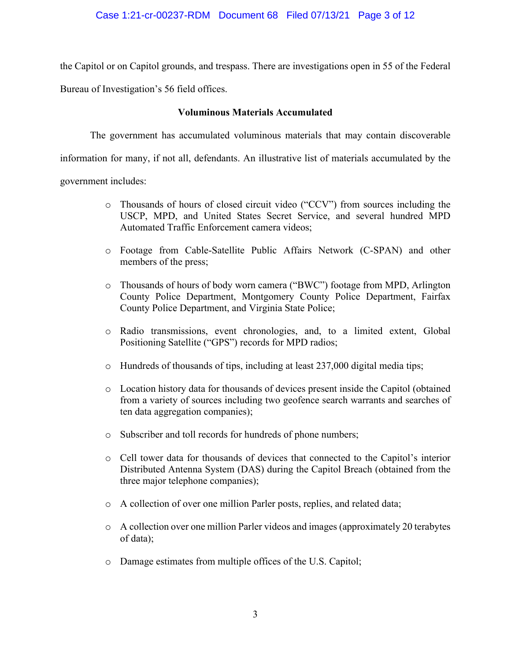the Capitol or on Capitol grounds, and trespass. There are investigations open in 55 of the Federal

Bureau of Investigation's 56 field offices.

## **Voluminous Materials Accumulated**

The government has accumulated voluminous materials that may contain discoverable

information for many, if not all, defendants. An illustrative list of materials accumulated by the

government includes:

- o Thousands of hours of closed circuit video ("CCV") from sources including the USCP, MPD, and United States Secret Service, and several hundred MPD Automated Traffic Enforcement camera videos;
- o Footage from Cable-Satellite Public Affairs Network (C-SPAN) and other members of the press;
- o Thousands of hours of body worn camera ("BWC") footage from MPD, Arlington County Police Department, Montgomery County Police Department, Fairfax County Police Department, and Virginia State Police;
- o Radio transmissions, event chronologies, and, to a limited extent, Global Positioning Satellite ("GPS") records for MPD radios;
- o Hundreds of thousands of tips, including at least 237,000 digital media tips;
- o Location history data for thousands of devices present inside the Capitol (obtained from a variety of sources including two geofence search warrants and searches of ten data aggregation companies);
- o Subscriber and toll records for hundreds of phone numbers;
- o Cell tower data for thousands of devices that connected to the Capitol's interior Distributed Antenna System (DAS) during the Capitol Breach (obtained from the three major telephone companies);
- o A collection of over one million Parler posts, replies, and related data;
- o A collection over one million Parler videos and images (approximately 20 terabytes of data);
- o Damage estimates from multiple offices of the U.S. Capitol;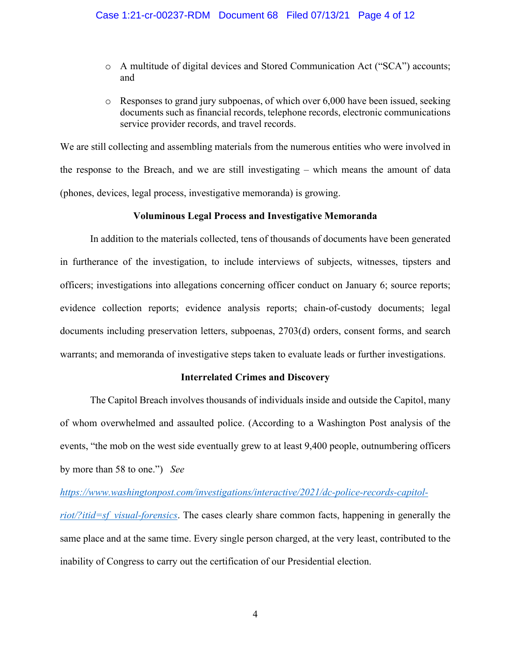- o A multitude of digital devices and Stored Communication Act ("SCA") accounts; and
- o Responses to grand jury subpoenas, of which over 6,000 have been issued, seeking documents such as financial records, telephone records, electronic communications service provider records, and travel records.

We are still collecting and assembling materials from the numerous entities who were involved in the response to the Breach, and we are still investigating – which means the amount of data (phones, devices, legal process, investigative memoranda) is growing.

## **Voluminous Legal Process and Investigative Memoranda**

In addition to the materials collected, tens of thousands of documents have been generated in furtherance of the investigation, to include interviews of subjects, witnesses, tipsters and officers; investigations into allegations concerning officer conduct on January 6; source reports; evidence collection reports; evidence analysis reports; chain-of-custody documents; legal documents including preservation letters, subpoenas, 2703(d) orders, consent forms, and search warrants; and memoranda of investigative steps taken to evaluate leads or further investigations.

## **Interrelated Crimes and Discovery**

The Capitol Breach involves thousands of individuals inside and outside the Capitol, many of whom overwhelmed and assaulted police. (According to a Washington Post analysis of the events, "the mob on the west side eventually grew to at least 9,400 people, outnumbering officers by more than 58 to one.") *See* 

*https://www.washingtonpost.com/investigations/interactive/2021/dc-police-records-capitolriot/?itid=sf visual-forensics*. The cases clearly share common facts, happening in generally the same place and at the same time. Every single person charged, at the very least, contributed to the inability of Congress to carry out the certification of our Presidential election.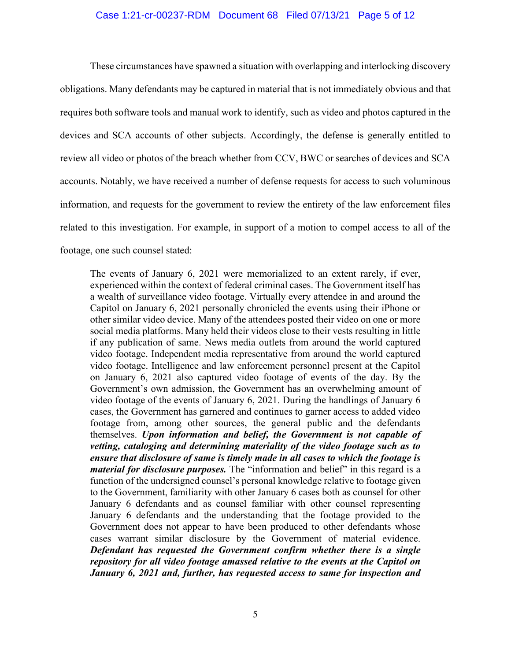## Case 1:21-cr-00237-RDM Document 68 Filed 07/13/21 Page 5 of 12

These circumstances have spawned a situation with overlapping and interlocking discovery obligations. Many defendants may be captured in material that is not immediately obvious and that requires both software tools and manual work to identify, such as video and photos captured in the devices and SCA accounts of other subjects. Accordingly, the defense is generally entitled to review all video or photos of the breach whether from CCV, BWC or searches of devices and SCA accounts. Notably, we have received a number of defense requests for access to such voluminous information, and requests for the government to review the entirety of the law enforcement files related to this investigation. For example, in support of a motion to compel access to all of the footage, one such counsel stated:

The events of January 6, 2021 were memorialized to an extent rarely, if ever, experienced within the context of federal criminal cases. The Government itself has a wealth of surveillance video footage. Virtually every attendee in and around the Capitol on January 6, 2021 personally chronicled the events using their iPhone or other similar video device. Many of the attendees posted their video on one or more social media platforms. Many held their videos close to their vests resulting in little if any publication of same. News media outlets from around the world captured video footage. Independent media representative from around the world captured video footage. Intelligence and law enforcement personnel present at the Capitol on January 6, 2021 also captured video footage of events of the day. By the Government's own admission, the Government has an overwhelming amount of video footage of the events of January 6, 2021. During the handlings of January 6 cases, the Government has garnered and continues to garner access to added video footage from, among other sources, the general public and the defendants themselves. *Upon information and belief, the Government is not capable of vetting, cataloging and determining materiality of the video footage such as to ensure that disclosure of same is timely made in all cases to which the footage is material for disclosure purposes.* The "information and belief" in this regard is a function of the undersigned counsel's personal knowledge relative to footage given to the Government, familiarity with other January 6 cases both as counsel for other January 6 defendants and as counsel familiar with other counsel representing January 6 defendants and the understanding that the footage provided to the Government does not appear to have been produced to other defendants whose cases warrant similar disclosure by the Government of material evidence. *Defendant has requested the Government confirm whether there is a single repository for all video footage amassed relative to the events at the Capitol on January 6, 2021 and, further, has requested access to same for inspection and*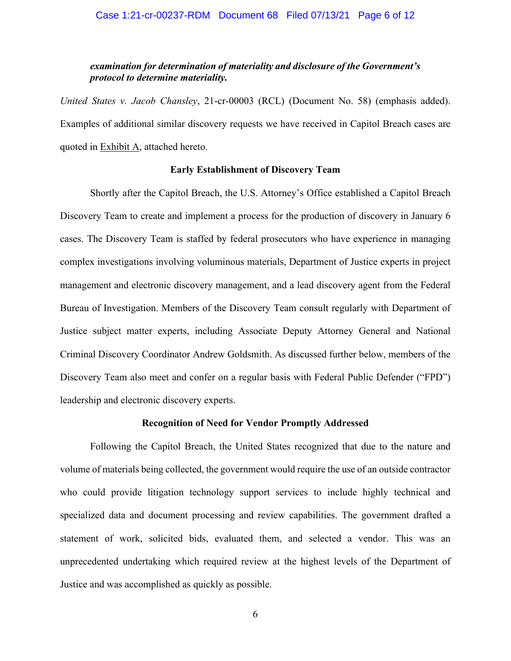## *examination for determination of materiality and disclosure of the Government's protocol to determine materiality.*

*United States v. Jacob Chansley*, 21-cr-00003 (RCL) (Document No. 58) (emphasis added). Examples of additional similar discovery requests we have received in Capitol Breach cases are quoted in Exhibit A, attached hereto.

### **Early Establishment of Discovery Team**

Shortly after the Capitol Breach, the U.S. Attorney's Office established a Capitol Breach Discovery Team to create and implement a process for the production of discovery in January 6 cases. The Discovery Team is staffed by federal prosecutors who have experience in managing complex investigations involving voluminous materials, Department of Justice experts in project management and electronic discovery management, and a lead discovery agent from the Federal Bureau of Investigation. Members of the Discovery Team consult regularly with Department of Justice subject matter experts, including Associate Deputy Attorney General and National Criminal Discovery Coordinator Andrew Goldsmith. As discussed further below, members of the Discovery Team also meet and confer on a regular basis with Federal Public Defender ("FPD") leadership and electronic discovery experts.

#### **Recognition of Need for Vendor Promptly Addressed**

Following the Capitol Breach, the United States recognized that due to the nature and volume of materials being collected, the government would require the use of an outside contractor who could provide litigation technology support services to include highly technical and specialized data and document processing and review capabilities. The government drafted a statement of work, solicited bids, evaluated them, and selected a vendor. This was an unprecedented undertaking which required review at the highest levels of the Department of Justice and was accomplished as quickly as possible.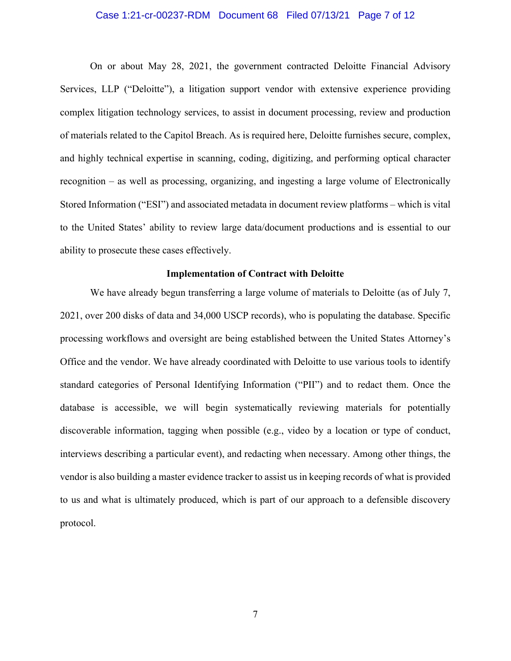#### Case 1:21-cr-00237-RDM Document 68 Filed 07/13/21 Page 7 of 12

On or about May 28, 2021, the government contracted Deloitte Financial Advisory Services, LLP ("Deloitte"), a litigation support vendor with extensive experience providing complex litigation technology services, to assist in document processing, review and production of materials related to the Capitol Breach. As is required here, Deloitte furnishes secure, complex, and highly technical expertise in scanning, coding, digitizing, and performing optical character recognition – as well as processing, organizing, and ingesting a large volume of Electronically Stored Information ("ESI") and associated metadata in document review platforms – which is vital to the United States' ability to review large data/document productions and is essential to our ability to prosecute these cases effectively.

## **Implementation of Contract with Deloitte**

We have already begun transferring a large volume of materials to Deloitte (as of July 7, 2021, over 200 disks of data and 34,000 USCP records), who is populating the database. Specific processing workflows and oversight are being established between the United States Attorney's Office and the vendor. We have already coordinated with Deloitte to use various tools to identify standard categories of Personal Identifying Information ("PII") and to redact them. Once the database is accessible, we will begin systematically reviewing materials for potentially discoverable information, tagging when possible (e.g., video by a location or type of conduct, interviews describing a particular event), and redacting when necessary. Among other things, the vendor is also building a master evidence tracker to assist us in keeping records of what is provided to us and what is ultimately produced, which is part of our approach to a defensible discovery protocol.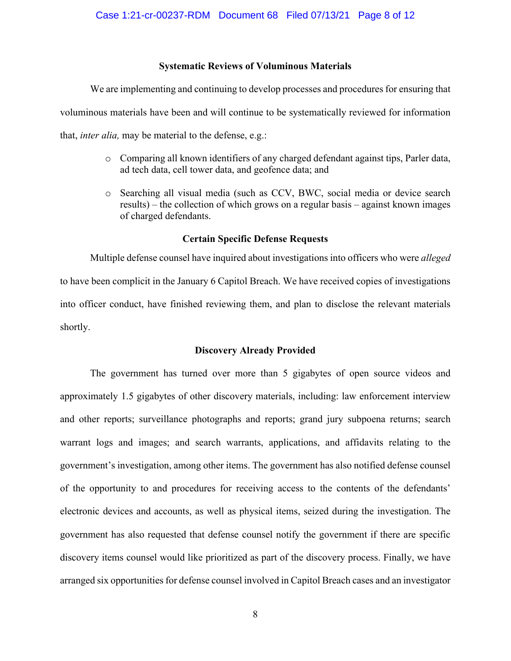## **Systematic Reviews of Voluminous Materials**

We are implementing and continuing to develop processes and procedures for ensuring that voluminous materials have been and will continue to be systematically reviewed for information that, *inter alia,* may be material to the defense, e.g.:

- o Comparing all known identifiers of any charged defendant against tips, Parler data, ad tech data, cell tower data, and geofence data; and
- o Searching all visual media (such as CCV, BWC, social media or device search results) – the collection of which grows on a regular basis – against known images of charged defendants.

## **Certain Specific Defense Requests**

Multiple defense counsel have inquired about investigations into officers who were *alleged*  to have been complicit in the January 6 Capitol Breach. We have received copies of investigations into officer conduct, have finished reviewing them, and plan to disclose the relevant materials shortly.

## **Discovery Already Provided**

The government has turned over more than 5 gigabytes of open source videos and approximately 1.5 gigabytes of other discovery materials, including: law enforcement interview and other reports; surveillance photographs and reports; grand jury subpoena returns; search warrant logs and images; and search warrants, applications, and affidavits relating to the government's investigation, among other items. The government has also notified defense counsel of the opportunity to and procedures for receiving access to the contents of the defendants' electronic devices and accounts, as well as physical items, seized during the investigation. The government has also requested that defense counsel notify the government if there are specific discovery items counsel would like prioritized as part of the discovery process. Finally, we have arranged six opportunities for defense counsel involved in Capitol Breach cases and an investigator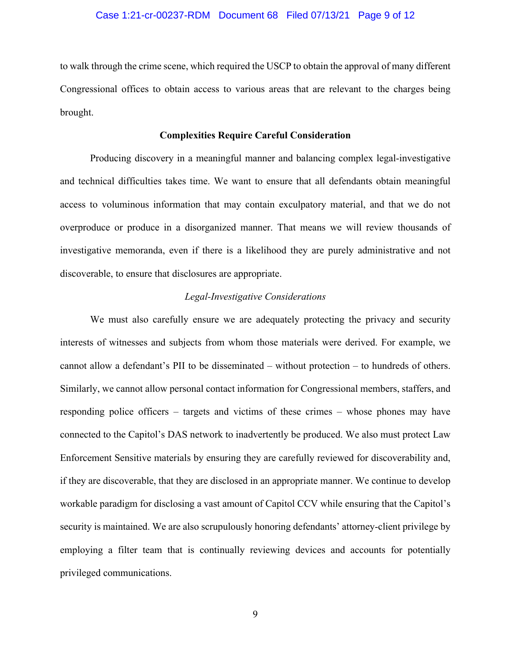## Case 1:21-cr-00237-RDM Document 68 Filed 07/13/21 Page 9 of 12

to walk through the crime scene, which required the USCP to obtain the approval of many different Congressional offices to obtain access to various areas that are relevant to the charges being brought.

## **Complexities Require Careful Consideration**

Producing discovery in a meaningful manner and balancing complex legal-investigative and technical difficulties takes time. We want to ensure that all defendants obtain meaningful access to voluminous information that may contain exculpatory material, and that we do not overproduce or produce in a disorganized manner. That means we will review thousands of investigative memoranda, even if there is a likelihood they are purely administrative and not discoverable, to ensure that disclosures are appropriate.

## *Legal-Investigative Considerations*

We must also carefully ensure we are adequately protecting the privacy and security interests of witnesses and subjects from whom those materials were derived. For example, we cannot allow a defendant's PII to be disseminated – without protection – to hundreds of others. Similarly, we cannot allow personal contact information for Congressional members, staffers, and responding police officers – targets and victims of these crimes – whose phones may have connected to the Capitol's DAS network to inadvertently be produced. We also must protect Law Enforcement Sensitive materials by ensuring they are carefully reviewed for discoverability and, if they are discoverable, that they are disclosed in an appropriate manner. We continue to develop workable paradigm for disclosing a vast amount of Capitol CCV while ensuring that the Capitol's security is maintained. We are also scrupulously honoring defendants' attorney-client privilege by employing a filter team that is continually reviewing devices and accounts for potentially privileged communications.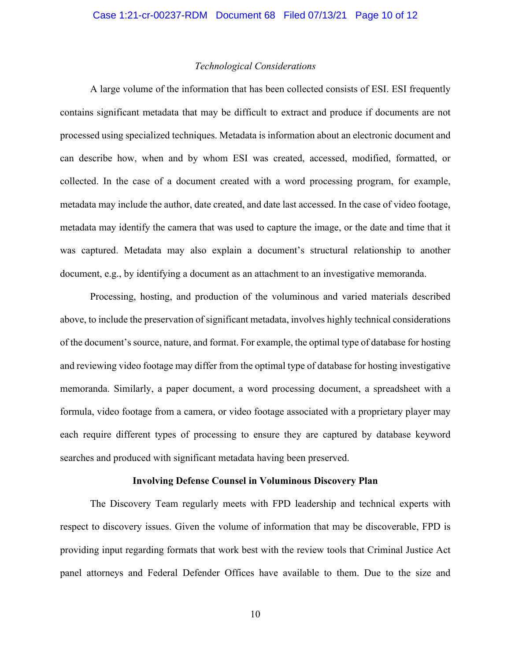#### *Technological Considerations*

A large volume of the information that has been collected consists of ESI. ESI frequently contains significant metadata that may be difficult to extract and produce if documents are not processed using specialized techniques. Metadata is information about an electronic document and can describe how, when and by whom ESI was created, accessed, modified, formatted, or collected. In the case of a document created with a word processing program, for example, metadata may include the author, date created, and date last accessed. In the case of video footage, metadata may identify the camera that was used to capture the image, or the date and time that it was captured. Metadata may also explain a document's structural relationship to another document, e.g., by identifying a document as an attachment to an investigative memoranda.

Processing, hosting, and production of the voluminous and varied materials described above, to include the preservation of significant metadata, involves highly technical considerations of the document's source, nature, and format. For example, the optimal type of database for hosting and reviewing video footage may differ from the optimal type of database for hosting investigative memoranda. Similarly, a paper document, a word processing document, a spreadsheet with a formula, video footage from a camera, or video footage associated with a proprietary player may each require different types of processing to ensure they are captured by database keyword searches and produced with significant metadata having been preserved.

#### **Involving Defense Counsel in Voluminous Discovery Plan**

The Discovery Team regularly meets with FPD leadership and technical experts with respect to discovery issues. Given the volume of information that may be discoverable, FPD is providing input regarding formats that work best with the review tools that Criminal Justice Act panel attorneys and Federal Defender Offices have available to them. Due to the size and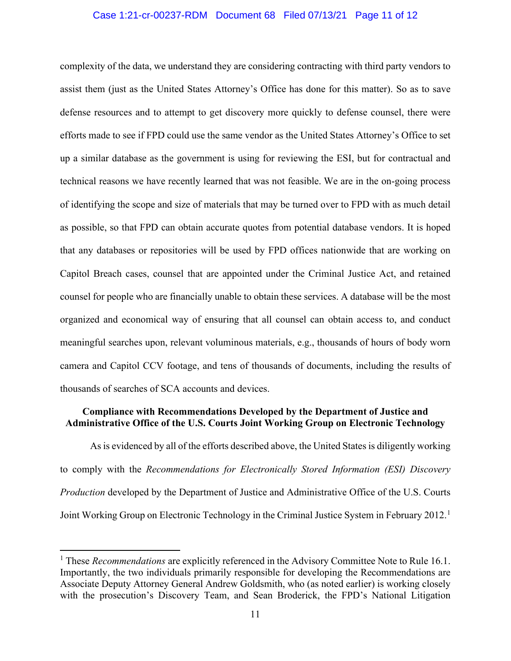## Case 1:21-cr-00237-RDM Document 68 Filed 07/13/21 Page 11 of 12

complexity of the data, we understand they are considering contracting with third party vendors to assist them (just as the United States Attorney's Office has done for this matter). So as to save defense resources and to attempt to get discovery more quickly to defense counsel, there were efforts made to see if FPD could use the same vendor as the United States Attorney's Office to set up a similar database as the government is using for reviewing the ESI, but for contractual and technical reasons we have recently learned that was not feasible. We are in the on-going process of identifying the scope and size of materials that may be turned over to FPD with as much detail as possible, so that FPD can obtain accurate quotes from potential database vendors. It is hoped that any databases or repositories will be used by FPD offices nationwide that are working on Capitol Breach cases, counsel that are appointed under the Criminal Justice Act, and retained counsel for people who are financially unable to obtain these services. A database will be the most organized and economical way of ensuring that all counsel can obtain access to, and conduct meaningful searches upon, relevant voluminous materials, e.g., thousands of hours of body worn camera and Capitol CCV footage, and tens of thousands of documents, including the results of thousands of searches of SCA accounts and devices.

## **Compliance with Recommendations Developed by the Department of Justice and Administrative Office of the U.S. Courts Joint Working Group on Electronic Technology**

As is evidenced by all of the efforts described above, the United States is diligently working to comply with the *Recommendations for Electronically Stored Information (ESI) Discovery Production* developed by the Department of Justice and Administrative Office of the U.S. Courts Joint Working Group on Electronic Technology in the Criminal Justice System in February 2012.<sup>1</sup>

<sup>1</sup> These *Recommendations* are explicitly referenced in the Advisory Committee Note to Rule 16.1. Importantly, the two individuals primarily responsible for developing the Recommendations are Associate Deputy Attorney General Andrew Goldsmith, who (as noted earlier) is working closely with the prosecution's Discovery Team, and Sean Broderick, the FPD's National Litigation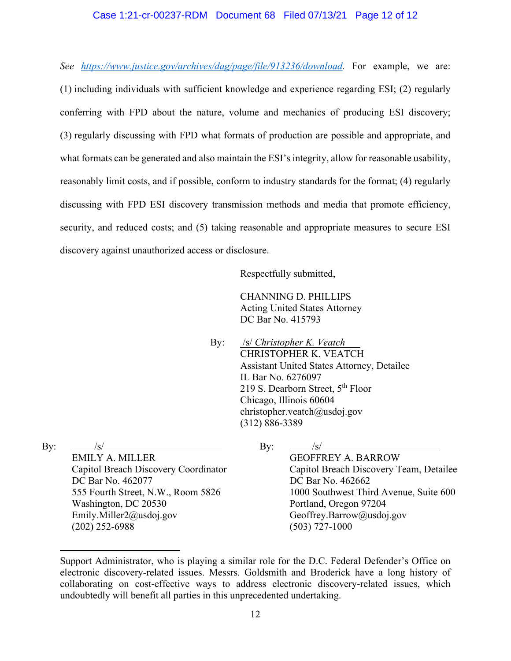## Case 1:21-cr-00237-RDM Document 68 Filed 07/13/21 Page 12 of 12

*See https://www.justice.gov/archives/dag/page/file/913236/download.* For example, we are:

(1) including individuals with sufficient knowledge and experience regarding ESI; (2) regularly conferring with FPD about the nature, volume and mechanics of producing ESI discovery; (3) regularly discussing with FPD what formats of production are possible and appropriate, and what formats can be generated and also maintain the ESI's integrity, allow for reasonable usability, reasonably limit costs, and if possible, conform to industry standards for the format; (4) regularly discussing with FPD ESI discovery transmission methods and media that promote efficiency, security, and reduced costs; and (5) taking reasonable and appropriate measures to secure ESI discovery against unauthorized access or disclosure.

Respectfully submitted,

CHANNING D. PHILLIPS Acting United States Attorney DC Bar No. 415793

By: /s/ *Christopher K. Veatch* CHRISTOPHER K. VEATCH Assistant United States Attorney, Detailee IL Bar No. 6276097 219 S. Dearborn Street,  $5<sup>th</sup>$  Floor Chicago, Illinois 60604 christopher.veatch@usdoj.gov (312) 886-3389

By:  $/s/$ 

EMILY A. MILLER Capitol Breach Discovery Coordinator DC Bar No. 462077 555 Fourth Street, N.W., Room 5826 Washington, DC 20530 Emily.Miller2@usdoj.gov (202) 252-6988

GEOFFREY A. BARROW Capitol Breach Discovery Team, Detailee DC Bar No. 462662 1000 Southwest Third Avenue, Suite 600 Portland, Oregon 97204 Geoffrey.Barrow@usdoj.gov (503) 727-1000

By:  $/s/$ 

Support Administrator, who is playing a similar role for the D.C. Federal Defender's Office on electronic discovery-related issues. Messrs. Goldsmith and Broderick have a long history of collaborating on cost-effective ways to address electronic discovery-related issues, which undoubtedly will benefit all parties in this unprecedented undertaking.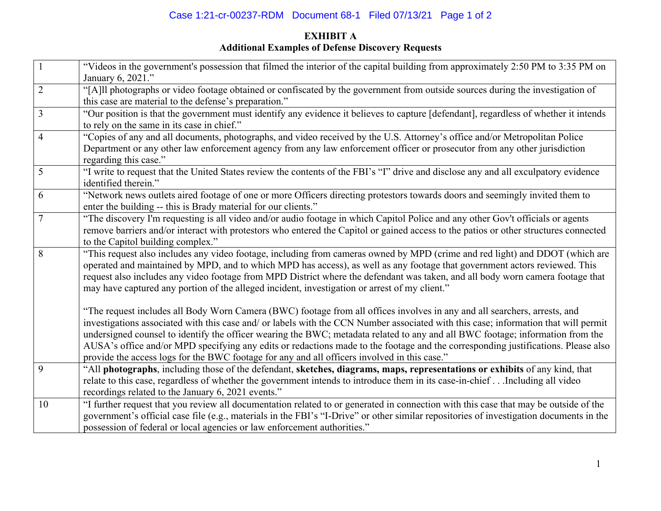## Case 1:21-cr-00237-RDM Document 68-1 Filed 07/13/21 Page 1 of 2

# **EXHIBIT A Additional Examples of Defense Discovery Requests**

| $\mathbf{1}$   | "Videos in the government's possession that filmed the interior of the capital building from approximately 2:50 PM to 3:35 PM on<br>January 6, 2021."                                                                                                                                                                                                                                                                                                                                                                                                                                                                                   |
|----------------|-----------------------------------------------------------------------------------------------------------------------------------------------------------------------------------------------------------------------------------------------------------------------------------------------------------------------------------------------------------------------------------------------------------------------------------------------------------------------------------------------------------------------------------------------------------------------------------------------------------------------------------------|
| $\overline{2}$ | "[A]ll photographs or video footage obtained or confiscated by the government from outside sources during the investigation of<br>this case are material to the defense's preparation."                                                                                                                                                                                                                                                                                                                                                                                                                                                 |
| 3              | "Our position is that the government must identify any evidence it believes to capture [defendant], regardless of whether it intends<br>to rely on the same in its case in chief."                                                                                                                                                                                                                                                                                                                                                                                                                                                      |
| $\overline{4}$ | "Copies of any and all documents, photographs, and video received by the U.S. Attorney's office and/or Metropolitan Police<br>Department or any other law enforcement agency from any law enforcement officer or prosecutor from any other jurisdiction<br>regarding this case."                                                                                                                                                                                                                                                                                                                                                        |
| 5              | "I write to request that the United States review the contents of the FBI's "I" drive and disclose any and all exculpatory evidence<br>identified therein."                                                                                                                                                                                                                                                                                                                                                                                                                                                                             |
| 6              | "Network news outlets aired footage of one or more Officers directing protestors towards doors and seemingly invited them to<br>enter the building -- this is Brady material for our clients."                                                                                                                                                                                                                                                                                                                                                                                                                                          |
| $\tau$         | "The discovery I'm requesting is all video and/or audio footage in which Capitol Police and any other Gov't officials or agents<br>remove barriers and/or interact with protestors who entered the Capitol or gained access to the patios or other structures connected<br>to the Capitol building complex."                                                                                                                                                                                                                                                                                                                            |
| 8              | "This request also includes any video footage, including from cameras owned by MPD (crime and red light) and DDOT (which are<br>operated and maintained by MPD, and to which MPD has access), as well as any footage that government actors reviewed. This<br>request also includes any video footage from MPD District where the defendant was taken, and all body worn camera footage that<br>may have captured any portion of the alleged incident, investigation or arrest of my client."                                                                                                                                           |
|                | "The request includes all Body Worn Camera (BWC) footage from all offices involves in any and all searchers, arrests, and<br>investigations associated with this case and/ or labels with the CCN Number associated with this case; information that will permit<br>undersigned counsel to identify the officer wearing the BWC; metadata related to any and all BWC footage; information from the<br>AUSA's office and/or MPD specifying any edits or redactions made to the footage and the corresponding justifications. Please also<br>provide the access logs for the BWC footage for any and all officers involved in this case." |
| 9              | "All photographs, including those of the defendant, sketches, diagrams, maps, representations or exhibits of any kind, that<br>relate to this case, regardless of whether the government intends to introduce them in its case-in-chiefIncluding all video<br>recordings related to the January 6, 2021 events."                                                                                                                                                                                                                                                                                                                        |
| 10             | "I further request that you review all documentation related to or generated in connection with this case that may be outside of the<br>government's official case file (e.g., materials in the FBI's "I-Drive" or other similar repositories of investigation documents in the<br>possession of federal or local agencies or law enforcement authorities."                                                                                                                                                                                                                                                                             |